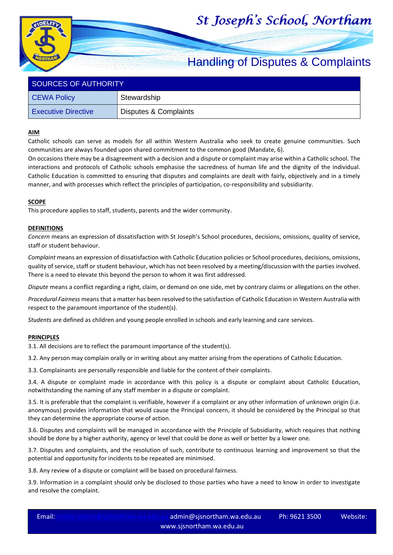# St Joseph's School, Northam



| SOURCES OF AUTHORITY       |                       |  |  |
|----------------------------|-----------------------|--|--|
| <b>CEWA Policy</b>         | Stewardship           |  |  |
| <b>Executive Directive</b> | Disputes & Complaints |  |  |

### **AIM**

Catholic schools can serve as models for all within Western Australia who seek to create genuine communities. Such communities are always founded upon shared commitment to the common good (Mandate, 6).

On occasions there may be a disagreement with a decision and a dispute or complaint may arise within a Catholic school. The interactions and protocols of Catholic schools emphasise the sacredness of human life and the dignity of the individual. Catholic Education is committed to ensuring that disputes and complaints are dealt with fairly, objectively and in a timely manner, and with processes which reflect the principles of participation, co-responsibility and subsidiarity.

#### **SCOPE**

This procedure applies to staff, students, parents and the wider community.

#### **DEFINITIONS**

*Concern* means an expression of dissatisfaction with St Joseph's School procedures, decisions, omissions, quality of service, staff or student behaviour.

*Complaint* means an expression of dissatisfaction with Catholic Education policies or School procedures, decisions, omissions, quality of service, staff or student behaviour, which has not been resolved by a meeting/discussion with the parties involved. There is a need to elevate this beyond the person to whom it was first addressed.

*Dispute* means a conflict regarding a right, claim, or demand on one side, met by contrary claims or allegations on the other.

*Procedural Fairness* means that a matter has been resolved to the satisfaction of Catholic Education in Western Australia with respect to the paramount importance of the student(s).

*Students* are defined as children and young people enrolled in schools and early learning and care services.

#### **PRINCIPLES**

3.1. All decisions are to reflect the paramount importance of the student(s).

3.2. Any person may complain orally or in writing about any matter arising from the operations of Catholic Education.

3.3. Complainants are personally responsible and liable for the content of their complaints.

3.4. A dispute or complaint made in accordance with this policy is a dispute or complaint about Catholic Education, notwithstanding the naming of any staff member in a dispute or complaint.

3.5. It is preferable that the complaint is verifiable, however if a complaint or any other information of unknown origin (i.e. anonymous) provides information that would cause the Principal concern, it should be considered by the Principal so that they can determine the appropriate course of action.

3.6. Disputes and complaints will be managed in accordance with the Principle of Subsidiarity, which requires that nothing should be done by a higher authority, agency or level that could be done as well or better by a lower one.

3.7. Disputes and complaints, and the resolution of such, contribute to continuous learning and improvement so that the potential and opportunity for incidents to be repeated are minimised.

3.8. Any review of a dispute or complaint will be based on procedural fairness.

3.9. Information in a complaint should only be disclosed to those parties who have a need to know in order to investigate and resolve the complaint.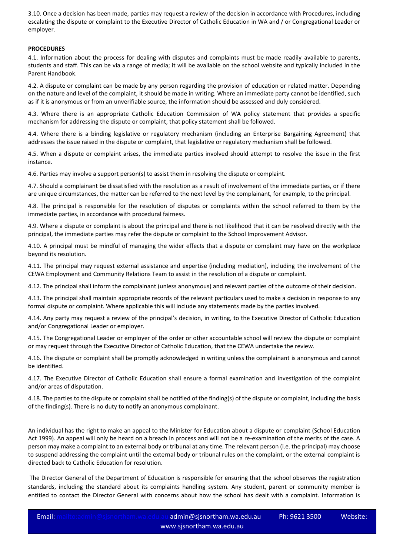3.10. Once a decision has been made, parties may request a review of the decision in accordance with Procedures, including escalating the dispute or complaint to the Executive Director of Catholic Education in WA and / or Congregational Leader or employer.

### **PROCEDURES**

4.1. Information about the process for dealing with disputes and complaints must be made readily available to parents, students and staff. This can be via a range of media; it will be available on the school website and typically included in the Parent Handbook.

4.2. A dispute or complaint can be made by any person regarding the provision of education or related matter. Depending on the nature and level of the complaint, it should be made in writing. Where an immediate party cannot be identified, such as if it is anonymous or from an unverifiable source, the information should be assessed and duly considered.

4.3. Where there is an appropriate Catholic Education Commission of WA policy statement that provides a specific mechanism for addressing the dispute or complaint, that policy statement shall be followed.

4.4. Where there is a binding legislative or regulatory mechanism (including an Enterprise Bargaining Agreement) that addresses the issue raised in the dispute or complaint, that legislative or regulatory mechanism shall be followed.

4.5. When a dispute or complaint arises, the immediate parties involved should attempt to resolve the issue in the first instance.

4.6. Parties may involve a support person(s) to assist them in resolving the dispute or complaint.

4.7. Should a complainant be dissatisfied with the resolution as a result of involvement of the immediate parties, or if there are unique circumstances, the matter can be referred to the next level by the complainant, for example, to the principal.

4.8. The principal is responsible for the resolution of disputes or complaints within the school referred to them by the immediate parties, in accordance with procedural fairness.

4.9. Where a dispute or complaint is about the principal and there is not likelihood that it can be resolved directly with the principal, the immediate parties may refer the dispute or complaint to the School Improvement Advisor.

4.10. A principal must be mindful of managing the wider effects that a dispute or complaint may have on the workplace beyond its resolution.

4.11. The principal may request external assistance and expertise (including mediation), including the involvement of the CEWA Employment and Community Relations Team to assist in the resolution of a dispute or complaint.

4.12. The principal shall inform the complainant (unless anonymous) and relevant parties of the outcome of their decision.

4.13. The principal shall maintain appropriate records of the relevant particulars used to make a decision in response to any formal dispute or complaint. Where applicable this will include any statements made by the parties involved.

4.14. Any party may request a review of the principal's decision, in writing, to the Executive Director of Catholic Education and/or Congregational Leader or employer.

4.15. The Congregational Leader or employer of the order or other accountable school will review the dispute or complaint or may request through the Executive Director of Catholic Education, that the CEWA undertake the review.

4.16. The dispute or complaint shall be promptly acknowledged in writing unless the complainant is anonymous and cannot be identified.

4.17. The Executive Director of Catholic Education shall ensure a formal examination and investigation of the complaint and/or areas of disputation.

4.18. The parties to the dispute or complaint shall be notified of the finding(s) of the dispute or complaint, including the basis of the finding(s). There is no duty to notify an anonymous complainant.

An individual has the right to make an appeal to the Minister for Education about a dispute or complaint (School Education Act 1999). An appeal will only be heard on a breach in process and will not be a re-examination of the merits of the case. A person may make a complaint to an external body or tribunal at any time. The relevant person (i.e. the principal) may choose to suspend addressing the complaint until the external body or tribunal rules on the complaint, or the external complaint is directed back to Catholic Education for resolution.

The Director General of the Department of Education is responsible for ensuring that the school observes the registration standards, including the standard about its complaints handling system. Any student, parent or community member is entitled to contact the Director General with concerns about how the school has dealt with a complaint. Information is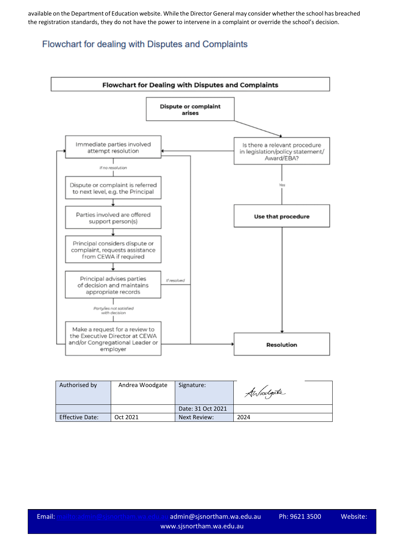available on the Department of Education website. While the Director General may consider whether the school has breached the registration standards, they do not have the power to intervene in a complaint or override the school's decision.

## Flowchart for dealing with Disputes and Complaints



| Authorised by          | Andrea Woodgate | Signature:        | Awoodgate |
|------------------------|-----------------|-------------------|-----------|
|                        |                 | Date: 31 Oct 2021 |           |
| <b>Effective Date:</b> | Oct 2021        | Next Review:      | 2024      |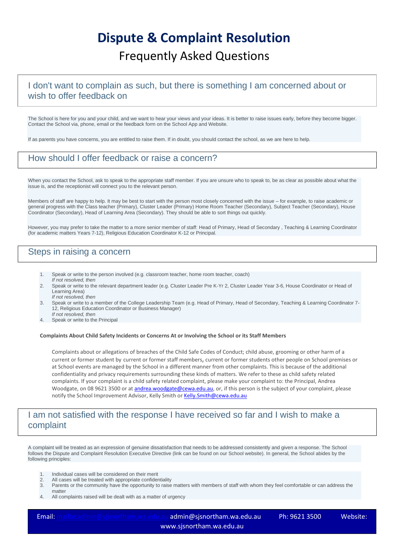# **Dispute & Complaint Resolution** Frequently Asked Questions

# I don't want to complain as such, but there is something I am concerned about or wish to offer feedback on

The School is here for you and your child, and we want to hear your views and your ideas. It is better to raise issues early, before they become bigger. Contact the School via, phone, email or the feedback form on the School App and Website.

If as parents you have concerns, you are entitled to raise them. If in doubt, you should contact the school, as we are here to help.

## How should I offer feedback or raise a concern?

When you contact the School, ask to speak to the appropriate staff member. If you are unsure who to speak to, be as clear as possible about what the issue is, and the receptionist will connect you to the relevant person.

Members of staff are happy to help. It may be best to start with the person most closely concerned with the issue – for example, to raise academic or general progress with the Class teacher (Primary), Cluster Leader (Primary) Home Room Teacher (Secondary), Subject Teacher (Secondary), House Coordinator (Secondary), Head of Learning Area (Secondary). They should be able to sort things out quickly.

However, you may prefer to take the matter to a more senior member of staff: Head of Primary, Head of Secondary , Teaching & Learning Coordinator (for academic matters Years 7-12), Religious Education Coordinator K-12 or Principal.

# Steps in raising a concern

- 1. Speak or write to the person involved (e.g. classroom teacher, home room teacher, coach) *If not resolved, then*
- 2. Speak or write to the relevant department leader (e.g. Cluster Leader Pre K-Yr 2, Cluster Leader Year 3-6, House Coordinator or Head of Learning Area)
- *If not resolved, then* 3. Speak or write to a member of the College Leadership Team (e.g. Head of Primary, Head of Secondary, Teaching & Learning Coordinator 7- 12, Religious Education Coordinator or Business Manager)
- *If not resolved, then* 4. Speak or write to the Principal

#### **Complaints About Child Safety Incidents or Concerns At or Involving the School or its Staff Members**

Complaints about or allegations of breaches of the Child Safe Codes of Conduct; child abuse, grooming or other harm of a current or former student by current or former staff members, current or former students other people on School premises or at School events are managed by the School in a different manner from other complaints. This is because of the additional confidentiality and privacy requirements surrounding these kinds of matters. We refer to these as child safety related complaints. If your complaint is a child safety related complaint, please make your complaint to: the Principal, Andrea Woodgate, on 08 9621 3500 or at [andrea.woodgate@cewa.edu.au,](mailto:andrea.woodgate@cewa.edu.au) or, if this person is the subject of your complaint, please notify the School Improvement Advisor, Kelly Smith or Kelly. Smith@cewa.edu.au

## I am not satisfied with the response I have received so far and I wish to make a complaint

A complaint will be treated as an expression of genuine dissatisfaction that needs to be addressed consistently and given a response. The School follows the Dispute and Complaint Resolution Executive Directive (link can be found on our School website). In general, the School abides by the following principles:

- 1. Individual cases will be considered on their merit<br>2. All cases will be treated with appropriate confider
- All cases will be treated with appropriate confidentiality
- 3. Parents or the community have the opportunity to raise matters with members of staff with whom they feel comfortable or can address the matter
- 4. All complaints raised will be dealt with as a matter of urgency

Email:<mailto:admin@sjsnortham.wa.edu.au> admin@sjsnortham.wa.edu.au Ph: 9621 3500 Website: www.sjsnortham.wa.edu.au